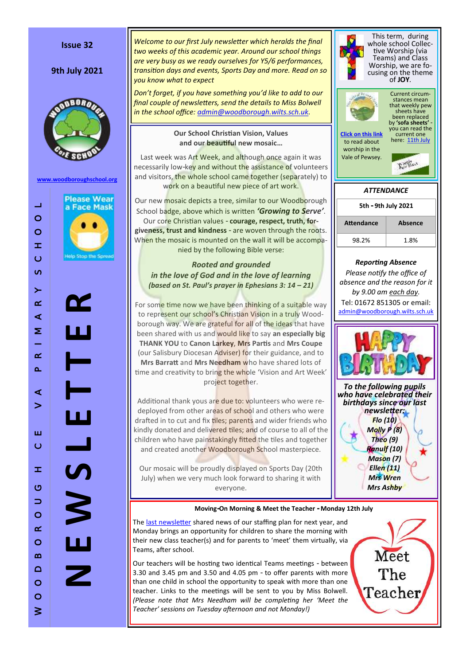#### **Issue 32**

# **9th July 2021**



**[www.woodboroughschool.org](https://woodboroughschool.org/)**



W O O D B O R O U G H C E V A P R I M A R Y S C H O O L

ш  $\circ$ 

 $\pm$ 

 $\circ$  $\qquad \qquad \Box$  $\circ$  $\alpha$  $\circ$ 

 $\Omega$  $\Box$ 

 $\circ$ 

 $\circ$  $\leq$ 

 $\prec$  $\geq$ 

 $\Box$ 

 $\circ$  $\circ$  $\pm$ 

 $\ddot{\circ}$  $\sigma$ 

 $\left. \right.$ 

 $\propto$  $\prec$ Σ

 $\alpha$  $\Delta$ 

*Welcome to our first July newsletter which heralds the final two weeks of this academic year. Around our school things are very busy as we ready ourselves for Y5/6 performances, transition days and events, Sports Day and more. Read on so you know what to expect*

*Don't forget, if you have something you'd like to add to our final couple of newsletters, send the details to Miss Bolwell in the school office: [admin@woodborough.wilts.sch.uk.](mailto:admin@woodborough.wilts.sch.uk)*

### **Our School Christian Vision, Values and our beautiful new mosaic…**

Last week was Art Week, and although once again it was necessarily low-key and without the assistance of volunteers and visitors, the whole school came together (separately) to work on a beautiful new piece of art work.

Our new mosaic depicts a tree, similar to our Woodborough School badge, above which is written *'Growing to Serve'*. Our core Christian values - **courage, respect, truth, forgiveness, trust and kindness** - are woven through the roots. When the mosaic is mounted on the wall it will be accompanied by the following Bible verse:

# *Rooted and grounded in the love of God and in the love of learning (based on St. Paul's prayer in Ephesians 3: 14 – 21)*

For some time now we have been thinking of a suitable way to represent our school's Christian Vision in a truly Woodborough way. We are grateful for all of the ideas that have been shared with us and would like to say **an especially big THANK YOU** to **Canon Larkey**, **Mrs Partis** and **Mrs Coupe**  (our Salisbury Diocesan Adviser) for their guidance, and to **Mrs Barratt** and **Mrs Needham** who have shared lots of time and creativity to bring the whole 'Vision and Art Week' project together.

Additional thank yous are due to: volunteers who were redeployed from other areas of school and others who were drafted in to cut and fix tiles; parents and wider friends who kindly donated and delivered tiles; and of course to all of the children who have painstakingly fitted the tiles and together and created another Woodborough School masterpiece.

Our mosaic will be proudly displayed on Sports Day (20th July) when we very much look forward to sharing it with everyone.



*newsletter: Flo (10) Molly P (8) Theo (9) Ranulf (10) Mason (7) Ellen (11)*

> *Mrs Wren Mrs Ashby*

# **Moving-On Morning & Meet the Teacher - Monday 12th July**

The [last newsletter](https://woodboroughschool.org/wp-content/uploads/2021/06/25th-June.pdf) shared news of our staffing plan for next year, and Monday brings an opportunity for children to share the morning with their new class teacher(s) and for parents to 'meet' them virtually, via Teams, after school.

Our teachers will be hosting two identical Teams meetings - between 3.30 and 3.45 pm and 3.50 and 4.05 pm - to offer parents with more than one child in school the opportunity to speak with more than one teacher. Links to the meetings will be sent to you by Miss Bolwell. *(Please note that Mrs Needham will be completing her 'Meet the Teacher' sessions on Tuesday afternoon and not Monday!)*